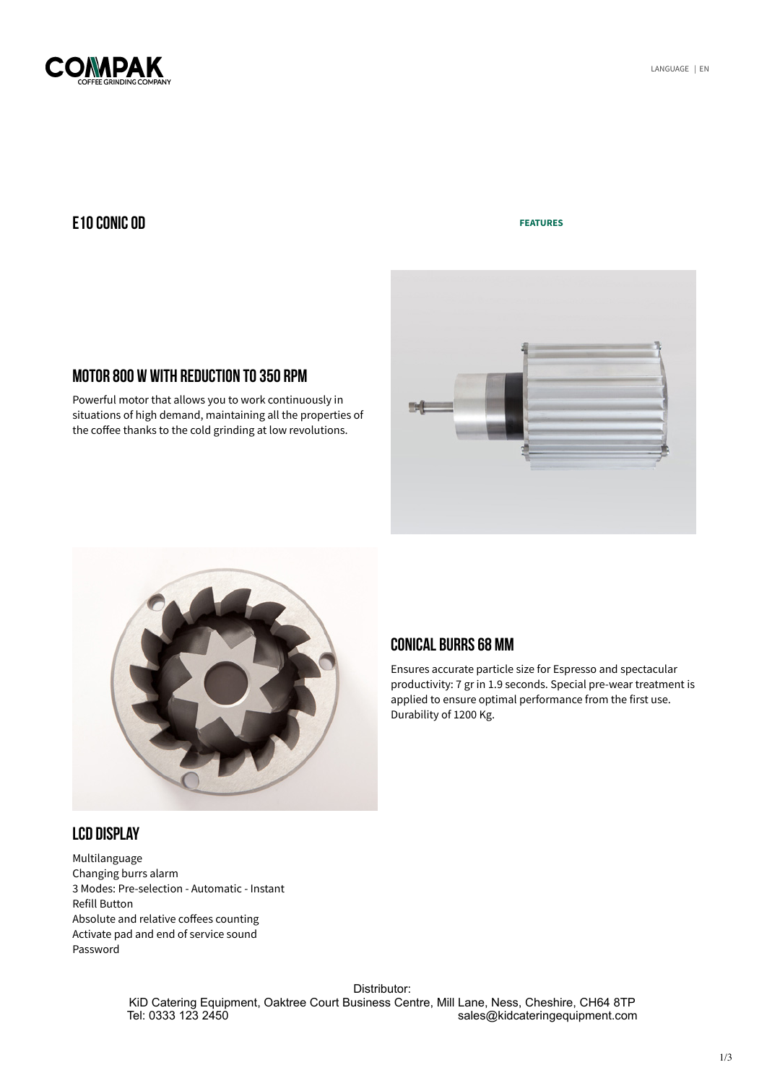<span id="page-0-0"></span>

### E10 CONIC OD

#### **[FEATURES](http://www.compak.es/en/e10-conic-essential-od-2.php)**





MOTOR 800 W WITH REDUCTION TO350 RPM

Powerful motor that allows you to work continuously in situations of high demand, maintaining all the properties of the coffee thanks to the cold grinding at low revolutions.

# LCD DISPLAY

Multilanguage Changing burrs alarm 3 Modes: Pre-selection - Automatic - Instant Refill Button Absolute and relative coffees counting Activate pad and end of service sound Password

# CONICAL BURRS 68 MM

Ensures accurate particle size for Espresso and spectacular productivity: 7 gr in 1.9 seconds. Special pre-wear treatment is applied to ensure optimal performance from the first use. Durability of 1200 Kg.

Distributor:

KiD Catering Equipment, Oaktree Court Business Centre, Mill Lane, Ness, Cheshire, CH64 8TP<br>sales@kidcateringequipment.com sales@kidcateringequipment.com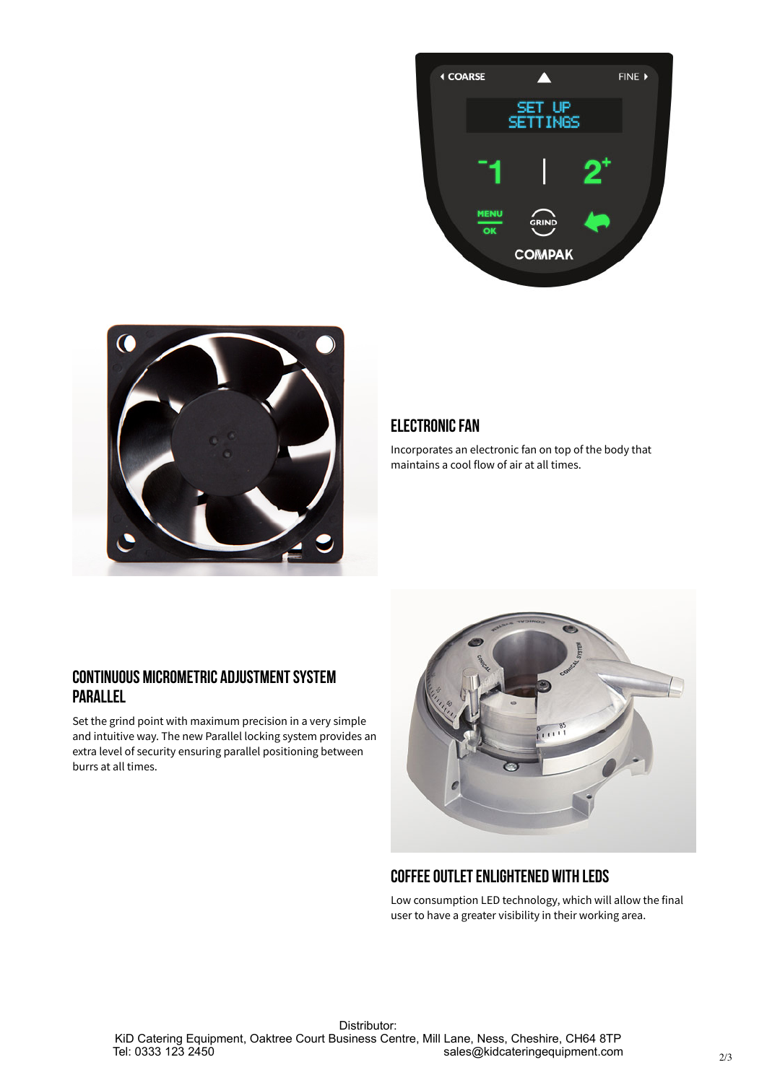



# **ELECTRONIC FAN**

Incorporates an electronic fan on top of the body that maintains a cool flow of air at all times.

# CONTINUOUS MICROMETRIC ADJUSTMENTSYSTEM PARALLEL

Set the grind point with maximum precision in a very simple and intuitive way. The new Parallel locking system provides an extra level of security ensuring parallel positioning between burrs at all times.



# COFFEE OUTLET ENLIGHTENED WITH LEDS

Low consumption LED technology, which will allow the final user to have a greater visibility in their working area.